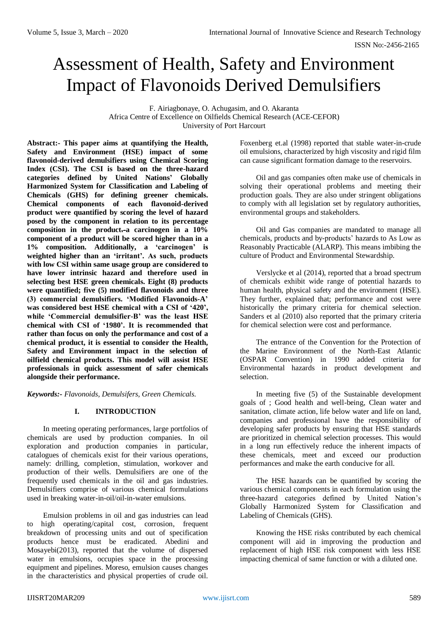# Assessment of Health, Safety and Environment Impact of Flavonoids Derived Demulsifiers

F. Airiagbonaye, O. Achugasim, and O. Akaranta Africa Centre of Excellence on Oilfields Chemical Research (ACE-CEFOR) University of Port Harcourt

**Abstract:- This paper aims at quantifying the Health, Safety and Environment (HSE) impact of some flavonoid-derived demulsifiers using Chemical Scoring Index (CSI). The CSI is based on the three-hazard categories defined by United Nations' Globally Harmonized System for Classification and Labeling of Chemicals (GHS) for defining greener chemicals. Chemical components of each flavonoid-derived product were quantified by scoring the level of hazard posed by the component in relation to its percentage composition in the product.-a carcinogen in a 10% component of a product will be scored higher than in a 1% composition. Additionally, a 'carcinogen' is weighted higher than an 'irritant'. As such, products with low CSI within same usage group are considered to have lower intrinsic hazard and therefore used in selecting best HSE green chemicals. Eight (8) products were quantified; five (5) modified flavonoids and three (3) commercial demulsifiers. 'Modified Flavonoids-A' was considered best HSE chemical with a CSI of '420', while 'Commercial demulsifier-B' was the least HSE chemical with CSI of '1980'. It is recommended that rather than focus on only the performance and cost of a chemical product, it is essential to consider the Health, Safety and Environment impact in the selection of oilfield chemical products. This model will assist HSE professionals in quick assessment of safer chemicals alongside their performance.**

*Keywords:- Flavonoids, Demulsifers, Green Chemicals.*

### **I. INTRODUCTION**

In meeting operating performances, large portfolios of chemicals are used by production companies. In oil exploration and production companies in particular, catalogues of chemicals exist for their various operations, namely: drilling, completion, stimulation, workover and production of their wells. Demulsifiers are one of the frequently used chemicals in the oil and gas industries. Demulsifiers comprise of various chemical formulations used in breaking water-in-oil/oil-in-water emulsions.

Emulsion problems in oil and gas industries can lead to high operating/capital cost, corrosion, frequent breakdown of processing units and out of specification products hence must be eradicated. Abedini and Mosayebi(2013), reported that the volume of dispersed water in emulsions, occupies space in the processing equipment and pipelines. Moreso, emulsion causes changes in the characteristics and physical properties of crude oil. Foxenberg et.al (1998) reported that stable water-in-crude oil emulsions, characterized by high viscosity and rigid film can cause significant formation damage to the reservoirs.

Oil and gas companies often make use of chemicals in solving their operational problems and meeting their production goals. They are also under stringent obligations to comply with all legislation set by regulatory authorities, environmental groups and stakeholders.

Oil and Gas companies are mandated to manage all chemicals, products and by-products' hazards to As Low as Reasonably Practicable (ALARP). This means imbibing the culture of Product and Environmental Stewardship.

Verslycke et al (2014), reported that a broad spectrum of chemicals exhibit wide range of potential hazards to human health, physical safety and the environment (HSE). They further, explained that; performance and cost were historically the primary criteria for chemical selection. Sanders et al (2010) also reported that the primary criteria for chemical selection were cost and performance.

The entrance of the Convention for the Protection of the Marine Environment of the North-East Atlantic (OSPAR Convention) in 1990 added criteria for Environmental hazards in product development and selection.

In meeting five (5) of the Sustainable development goals of ; Good health and well-being, Clean water and sanitation, climate action, life below water and life on land, companies and professional have the responsibility of developing safer products by ensuring that HSE standards are prioritized in chemical selection processes. This would in a long run effectively reduce the inherent impacts of these chemicals, meet and exceed our production performances and make the earth conducive for all.

The HSE hazards can be quantified by scoring the various chemical components in each formulation using the three-hazard categories defined by United Nation's Globally Harmonized System for Classification and Labeling of Chemicals (GHS).

Knowing the HSE risks contributed by each chemical component will aid in improving the production and replacement of high HSE risk component with less HSE impacting chemical of same function or with a diluted one.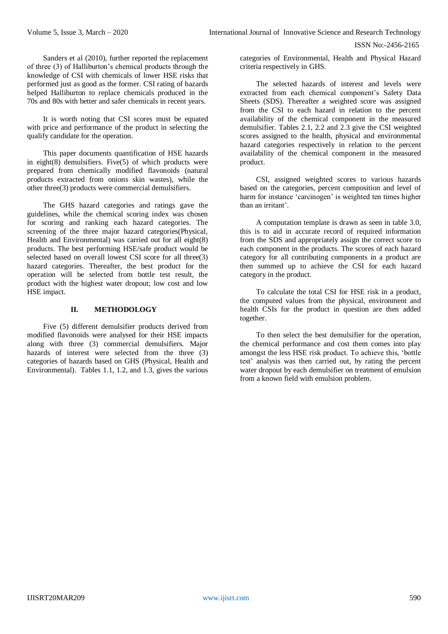ISSN No:-2456-2165

Sanders et al (2010), further reported the replacement of three (3) of Halliburton's chemical products through the knowledge of CSI with chemicals of lower HSE risks that performed just as good as the former. CSI rating of hazards helped Halliburton to replace chemicals produced in the 70s and 80s with better and safer chemicals in recent years.

It is worth noting that CSI scores must be equated with price and performance of the product in selecting the qualify candidate for the operation.

This paper documents quantification of HSE hazards in eight(8) demulsifiers. Five(5) of which products were prepared from chemically modified flavonoids (natural products extracted from onions skin wastes), while the other three(3) products were commercial demulsifiers.

The GHS hazard categories and ratings gave the guidelines, while the chemical scoring index was chosen for scoring and ranking each hazard categories. The screening of the three major hazard categories(Physical, Health and Environmental) was carried out for all eight(8) products. The best performing HSE/safe product would be selected based on overall lowest CSI score for all three(3) hazard categories. Thereafter, the best product for the operation will be selected from bottle test result, the product with the highest water dropout; low cost and low HSE impact.

## **II. METHODOLOGY**

Five (5) different demulsifier products derived from modified flavonoids were analysed for their HSE impacts along with three (3) commercial demulsifiers. Major hazards of interest were selected from the three (3) categories of hazards based on GHS (Physical, Health and Environmental). Tables 1.1, 1.2, and 1.3, gives the various

categories of Environmental, Health and Physical Hazard criteria respectively in GHS.

The selected hazards of interest and levels were extracted from each chemical component's Safety Data Sheets (SDS). Thereafter a weighted score was assigned from the CSI to each hazard in relation to the percent availability of the chemical component in the measured demulsifier. Tables 2.1, 2.2 and 2.3 give the CSI weighted scores assigned to the health, physical and environmental hazard categories respectively in relation to the percent availability of the chemical component in the measured product.

CSI, assigned weighted scores to various hazards based on the categories, percent composition and level of harm for instance 'carcinogen' is weighted ten times higher than an irritant'.

A computation template is drawn as seen in table 3.0, this is to aid in accurate record of required information from the SDS and appropriately assign the correct score to each component in the products. The scores of each hazard category for all contributing components in a product are then summed up to achieve the CSI for each hazard category in the product.

To calculate the total CSI for HSE risk in a product, the computed values from the physical, environment and health CSIs for the product in question are then added together.

To then select the best demulsifier for the operation, the chemical performance and cost them comes into play amongst the less HSE risk product. To achieve this, 'bottle test' analysis was then carried out, by rating the percent water dropout by each demulsifier on treatment of emulsion from a known field with emulsion problem.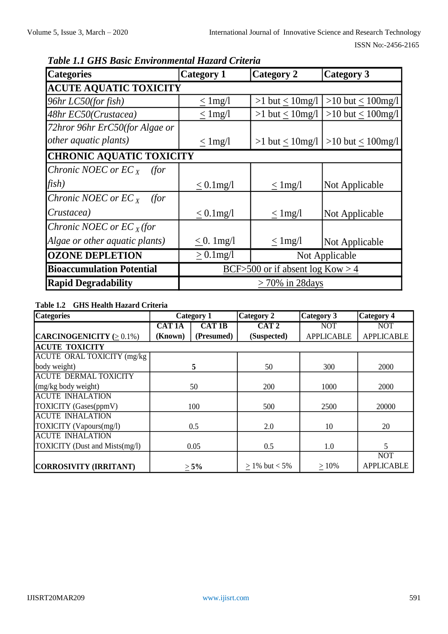| <b>Categories</b>                            | <b>Category 1</b>  | <b>Category 2</b>                  | <b>Category 3</b>       |  |  |  |  |
|----------------------------------------------|--------------------|------------------------------------|-------------------------|--|--|--|--|
| <b>ACUTE AQUATIC TOXICITY</b>                |                    |                                    |                         |  |  |  |  |
| $96hr$ LC50(for fish)                        | $<$ 1 mg/l         | $>1$ but $< 10$ mg/l               | $>10$ but < $100$ mg/l  |  |  |  |  |
| 48hr EC50(Crustacea)                         | $\leq$ 1 mg/l      | $>1$ but $\leq 10$ mg/l            | >10 but $\leq 100$ mg/l |  |  |  |  |
| 72hror 96hr ErC50(for Algae or               |                    |                                    |                         |  |  |  |  |
| <i>other aquatic plants)</i>                 | $<$ 1 mg/l         | $>1$ but < 10mg/l                  | >10 but $\leq 100$ mg/l |  |  |  |  |
| <b>CHRONIC AQUATIC TOXICITY</b>              |                    |                                    |                         |  |  |  |  |
| <i>Chronic NOEC or EC<sub>x</sub> (for</i> ) |                    |                                    |                         |  |  |  |  |
| fish)                                        | $< 0.1$ mg/l       | $\leq$ 1 mg/l                      | Not Applicable          |  |  |  |  |
| Chronic NOEC or $EC_{X}$<br>(for             |                    |                                    |                         |  |  |  |  |
| Crustacea)                                   | $\leq 0.1$ mg/l    | $\leq$ 1 mg/l                      | Not Applicable          |  |  |  |  |
| Chronic NOEC or $ECx$ (for                   |                    |                                    |                         |  |  |  |  |
| Algae or other aquatic plants)               | $< 0.1$ mg/l       | $\leq$ 1 mg/l                      | Not Applicable          |  |  |  |  |
| <b>OZONE DEPLETION</b>                       | $\geq 0.1$ mg/l    |                                    | Not Applicable          |  |  |  |  |
| <b>Bioaccumulation Potential</b>             |                    | BCF>500 or if absent $log Kow > 4$ |                         |  |  |  |  |
| <b>Rapid Degradability</b>                   | $>70\%$ in 28 days |                                    |                         |  |  |  |  |

*Table 1.1 GHS Basic Environmental Hazard Criteria*

# **Table 1.2 GHS Health Hazard Criteria**

| <b>Categories</b>                  | Category 1    |              | <b>Category 2</b> | Category 3        | <b>Category 4</b> |
|------------------------------------|---------------|--------------|-------------------|-------------------|-------------------|
|                                    | <b>CAT 1A</b> | <b>CAT1B</b> | CAT <sub>2</sub>  | <b>NOT</b>        | <b>NOT</b>        |
| CARCINOGENICITY $(>0.1\%)$         | (Known)       | (Presumed)   | (Suspected)       | <b>APPLICABLE</b> | <b>APPLICABLE</b> |
| <b>ACUTE TOXICITY</b>              |               |              |                   |                   |                   |
| <b>ACUTE ORAL TOXICITY</b> (mg/kg) |               |              |                   |                   |                   |
| body weight)                       |               | 5            | 50                | 300               | 2000              |
| <b>ACUTE DERMAL TOXICITY</b>       |               |              |                   |                   |                   |
| (mg/kg body weight)                |               | 50           | 200               | 1000              | 2000              |
| <b>ACUTE INHALATION</b>            |               |              |                   |                   |                   |
| TOXICITY (Gases(ppmV)              |               | 100          | 500               | 2500              | 20000             |
| <b>ACUTE INHALATION</b>            |               |              |                   |                   |                   |
| TOXICITY (Vapours(mg/l)            |               | 0.5          | 2.0               | 10                | 20                |
| <b>ACUTE INHALATION</b>            |               |              |                   |                   |                   |
| TOXICITY (Dust and Mists(mg/l)     |               | 0.05         | 0.5               | 1.0               | 5                 |
|                                    |               |              |                   |                   | <b>NOT</b>        |
| CORROSIVITY (IRRITANT)             |               | $> 5\%$      | $> 1\%$ but < 5%  | >10%              | <b>APPLICABLE</b> |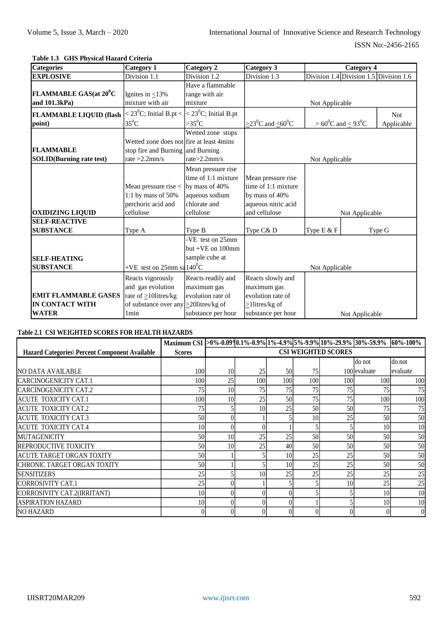# **Table 1.3 GHS Physical Hazard Criteria**

| <b>Categories</b>                       | <b>Category 1</b>                                           | Category 2            | <b>Category 3</b>                                     |                                        | <b>Category 4</b> |            |  |  |
|-----------------------------------------|-------------------------------------------------------------|-----------------------|-------------------------------------------------------|----------------------------------------|-------------------|------------|--|--|
| <b>EXPLOSIVE</b>                        | Division 1.1                                                | Division 1.2          | Division 1.3                                          | Division 1.4 Division 1.5 Division 1.6 |                   |            |  |  |
|                                         |                                                             | Have a flammable      |                                                       |                                        |                   |            |  |  |
| <b>FLAMMABLE GAS(at 20<sup>0</sup>C</b> | Ignites in $<$ 13%                                          | range with air        |                                                       |                                        |                   |            |  |  |
| and 101.3kPa)                           | mixture with air                                            | mixture               |                                                       | Not Applicable                         |                   |            |  |  |
| <b>FLAMMABLE LIQUID (flash</b>          | $\langle 23^0C;$ Initial B.pt $\langle 23^0C;$ Initial B.pt |                       |                                                       |                                        |                   | <b>Not</b> |  |  |
| point)                                  | $35^0C$                                                     | $>35^0C$              | $\geq$ 23 <sup>0</sup> C and $\leq$ 60 <sup>0</sup> C | $> 60^0C$ and $\leq 93^0C$             |                   | Applicable |  |  |
|                                         |                                                             | Wetted zone stops     |                                                       |                                        |                   |            |  |  |
|                                         | Wetted zone does not fire at least 4mins                    |                       |                                                       |                                        |                   |            |  |  |
| <b>FLAMMABLE</b>                        | stop fire and Burning and Burning                           |                       |                                                       |                                        |                   |            |  |  |
| <b>SOLID</b> (Burning rate test)        | rate $>2.2$ mm/s                                            | rate > 2.2mm/s        |                                                       | Not Applicable                         |                   |            |  |  |
|                                         |                                                             | Mean pressure rise    |                                                       |                                        |                   |            |  |  |
|                                         |                                                             | time of 1:1 mixture   | Mean pressure rise                                    |                                        |                   |            |  |  |
|                                         | Mean pressure rise <                                        | by mass of 40%        | time of 1:1 mixture                                   |                                        |                   |            |  |  |
|                                         | 1:1 by mass of $50\%$                                       | aqueous sodium        | by mass of 40%                                        |                                        |                   |            |  |  |
|                                         | perchoric acid and                                          | chlorate and          | aqueous nitric acid                                   |                                        |                   |            |  |  |
| <b>OXIDIZING LIQUID</b>                 | cellulose                                                   | cellulose             | and cellulose                                         |                                        | Not Applicable    |            |  |  |
| <b>SELF-REACTIVE</b>                    |                                                             |                       |                                                       |                                        |                   |            |  |  |
| <b>SUBSTANCE</b>                        | Type A                                                      | Type B                | Type C& D                                             | Type E & F                             |                   | Type G     |  |  |
|                                         |                                                             | -VE test on 25mm      |                                                       |                                        |                   |            |  |  |
|                                         |                                                             | but $+VE$ on $100$ mm |                                                       |                                        |                   |            |  |  |
| <b>SELF-HEATING</b>                     |                                                             | sample cube at        |                                                       |                                        |                   |            |  |  |
| <b>SUBSTANCE</b>                        | +VE test on $25$ mm sa $140^{\circ}$ C                      |                       |                                                       | Not Applicable                         |                   |            |  |  |
|                                         | Reacts vigorously                                           | Reacts readily and    | Reacts slowly and                                     |                                        |                   |            |  |  |
|                                         | and gas evolution                                           | maximum gas           | maximum gas                                           |                                        |                   |            |  |  |
| <b>EMIT FLAMMABLE GASES</b>             | rate of $\geq 10$ litres/kg                                 | evolution rate of     | evolution rate of                                     |                                        |                   |            |  |  |
| <b>IN CONTACT WITH</b>                  | of substance over any $\geq$ 20 litres/kg of                |                       | $\geq$ 1 litres/kg of                                 |                                        |                   |            |  |  |
| <b>WATER</b>                            | 1 <sub>min</sub>                                            | substance per hour    | substance per hour                                    |                                        | Not Applicable    |            |  |  |

# **Table 2.1 CSI WEIGHTED SCORES FOR HEALTH HAZARDS**

|                                                       | Maximum CSI >0%-0.09%,1%-0.9% 1%-4.9% 5%-9.9% 10%-29.9% 30%-59.9% |    |                 |                 |     |                            |              | $60\% - 100\%$ |
|-------------------------------------------------------|-------------------------------------------------------------------|----|-----------------|-----------------|-----|----------------------------|--------------|----------------|
| <b>Hazard Categories\ Percent Component Available</b> | <b>Scores</b>                                                     |    |                 |                 |     | <b>CSI WEIGHTED SCORES</b> |              |                |
|                                                       |                                                                   |    |                 |                 |     |                            | do not       | do not         |
| INO DATA AVAILABLE                                    | 100                                                               | 10 | 25              | 50              | 75  |                            | 100 evaluate | evaluate       |
| ICARCINOGENICITY CAT.1                                | 100 <sub>1</sub>                                                  | 25 | 100             | 100             | 100 | 100                        | 100          | 100            |
| ICARCINOGENICITY CAT.2                                | 75                                                                | 10 | 75              | 75              | 75  | 75                         | 75           | 75             |
| <b>ACUTE TOXICITY CAT.1</b>                           | 100                                                               | 10 | 25              | 50              | 75  | 75                         | 100          | 100            |
| <b>ACUTE TOXICITY CAT.2</b>                           | 75                                                                |    | 10              | 25              | 50  | 50                         | 75           | 75             |
| <b>ACUTE TOXICITY CAT.3</b>                           | 50                                                                |    |                 |                 | 10  | 25                         | 50           | 50             |
| <b>ACUTE TOXICITY CAT.4</b>                           | 10                                                                |    |                 |                 |     |                            | 10           | 10             |
| <b>IMUTAGENICITY</b>                                  | 50                                                                | 10 | 25              | 25              | 50  | 50                         | 50           | 50             |
| <b>REPRODUCTIVE TOXICITY</b>                          | 50                                                                | 10 | 25              | 40              | 50  | 50                         | 50           | 50             |
| ACUTE TARGET ORGAN TOXITY                             | 50                                                                |    |                 | 10              | 25  | 25                         | 50           | 50             |
| ICHRONIC TARGET ORGAN TOXITY                          | 50                                                                |    |                 | 10 <sup>1</sup> | 25  | 25                         | 50           | 50             |
| <b>ISENSITIZERS</b>                                   | 25                                                                |    | 10 <sub>1</sub> | 25              | 25  | 25                         | 25           | 25             |
| CORROSIVITY CAT.1                                     | 25                                                                |    |                 |                 |     | 10                         | 25           | 25             |
| CORROSIVITY CAT.2(IRRITANT)                           | 10                                                                |    |                 |                 |     |                            | 10           | 10             |
| <b>ASPIRATION HAZARD</b>                              | 10                                                                |    |                 |                 |     |                            | 10           | 10             |
| <b>NO HAZARD</b>                                      |                                                                   |    |                 |                 |     |                            |              | $\overline{0}$ |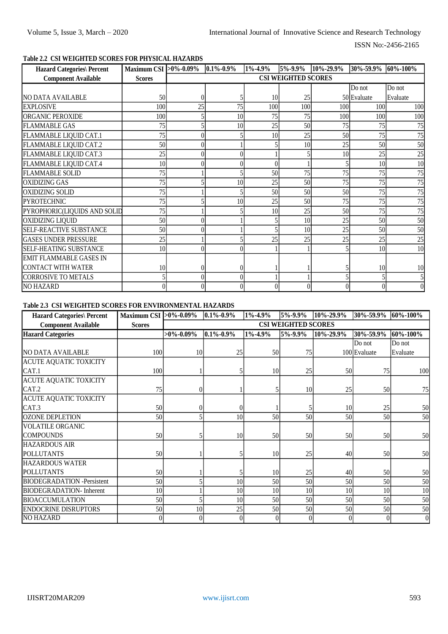# ISSN No:-2456-2165

# **Table 2.2 CSI WEIGHTED SCORES FOR PHYSICAL HAZARDS**

| <b>Hazard Categories\ Percent</b> | Maximum CSI >0%-0.09% 0.1%-0.9% |                            |    | 1%-4.9%         | $\overline{5\%}$ -9.9% | 10%-29.9% |             | 30%-59.9% 60%-100% |  |
|-----------------------------------|---------------------------------|----------------------------|----|-----------------|------------------------|-----------|-------------|--------------------|--|
| <b>Component Available</b>        | <b>Scores</b>                   | <b>CSI WEIGHTED SCORES</b> |    |                 |                        |           |             |                    |  |
|                                   |                                 |                            |    |                 |                        |           | Do not      | Do not             |  |
| <b>NO DATA AVAILABLE</b>          | 50                              | 0                          |    | 10 <sup>1</sup> | 25                     |           | 50 Evaluate | Evaluate           |  |
| <b>EXPLOSIVE</b>                  | 100                             | 25                         | 75 | 100             | 100                    | 100       | 100         | 100                |  |
| <b>ORGANIC PEROXIDE</b>           | 100                             |                            | 10 | 75              | 75                     | 100       | 100         | 100                |  |
| <b>FLAMMABLE GAS</b>              | 75                              |                            | 10 | 25              | 50                     | 75        | 75          | 75                 |  |
| FLAMMABLE LIQUID CAT.1            | 75                              |                            |    | 10              | 25                     | 50        | 75          | 75                 |  |
| FLAMMABLE LIQUID CAT.2            | 50                              |                            |    |                 | 10                     | 25        | 50          | 50                 |  |
| FLAMMABLE LIQUID CAT.3            | 25                              |                            |    |                 |                        | 10        | 25          | 25                 |  |
| FLAMMABLE LIQUID CAT.4            | 10 <sup>1</sup>                 |                            |    |                 |                        |           | 10          | 10                 |  |
| <b>FLAMMABLE SOLID</b>            | 75                              |                            |    | 50              | 75                     | 75        | 75          | 75                 |  |
| <b>OXIDIZING GAS</b>              | 75                              |                            | 10 | 25              | 50                     | 75        | 75          | 75                 |  |
| <b>OXIDIZING SOLID</b>            | 75                              |                            |    | 50              | 50                     | 50        | 75          | 75                 |  |
| <b>PYROTECHNIC</b>                | 75                              |                            | 10 | 25              | 50                     | 75        | 75          | 75                 |  |
| PYROPHORIC(LIQUIDS AND SOLID      | 75                              |                            |    | 10              | 25                     | 50        | 75          | 75                 |  |
| OXIDIZING LIQUID                  | 50                              |                            |    |                 | 10                     | 25        | 50          | 50                 |  |
| SELF-REACTIVE SUBSTANCE           | 50                              |                            |    |                 | 10                     | 25        | 50          | 50                 |  |
| <b>GASES UNDER PRESSURE</b>       | 25                              |                            |    | 25              | 25                     | 25        | 25          | 25                 |  |
| SELF-HEATING SUBSTANCE            | 10 <sup>1</sup>                 |                            |    |                 |                        |           | 10          | 10                 |  |
| <b>EMIT FLAMMABLE GASES IN</b>    |                                 |                            |    |                 |                        |           |             |                    |  |
| CONTACT WITH WATER                | 10 <sup>1</sup>                 |                            |    |                 |                        |           | 10          | 10                 |  |
| <b>CORROSIVE TO METALS</b>        | $\mathfrak{S}$                  | 0                          |    |                 |                        |           |             |                    |  |
| <b>NO HAZARD</b>                  | $\Omega$                        | 0                          |    | $\theta$        | 0                      |           |             |                    |  |

# **Table 2.3 CSI WEIGHTED SCORES FOR ENVIRONMENTAL HAZARDS**

| <b>Hazard Categories\ Percent</b> | Maximum CSI > 0%-0.09% |                            | $0.1\% - 0.9\%$ | $1\% - 4.9\%$ | 5%-9.9% | 10%-29.9%       | 30%-59.9%    | 60%-100%       |  |  |
|-----------------------------------|------------------------|----------------------------|-----------------|---------------|---------|-----------------|--------------|----------------|--|--|
| <b>Component Available</b>        | <b>Scores</b>          | <b>CSI WEIGHTED SCORES</b> |                 |               |         |                 |              |                |  |  |
| <b>Hazard Categories</b>          |                        | $>0\% - 0.09\%$            | $0.1\% - 0.9\%$ | 1%-4.9%       | 5%-9.9% | 10%-29.9%       | 30%-59.9%    | 60%-100%       |  |  |
|                                   |                        |                            |                 |               |         |                 | Do not       | Do not         |  |  |
| NO DATA AVAILABLE                 | 100                    | 10                         | 25              | 50            | 75      |                 | 100 Evaluate | Evaluate       |  |  |
| <b>ACUTE AQUATIC TOXICITY</b>     |                        |                            |                 |               |         |                 |              |                |  |  |
| CAT.1                             | 100                    |                            |                 | 10            | 25      | 50              | 75           | 100            |  |  |
| <b>ACUTE AQUATIC TOXICITY</b>     |                        |                            |                 |               |         |                 |              |                |  |  |
| CAT.2                             | 75                     |                            |                 |               | 10      | 25              | 50           | 75             |  |  |
| <b>ACUTE AQUATIC TOXICITY</b>     |                        |                            |                 |               |         |                 |              |                |  |  |
| CAT.3                             | 50                     |                            | $\overline{0}$  |               |         | 10 <sup>1</sup> | 25           | 50             |  |  |
| <b>OZONE DEPLETION</b>            | 50                     |                            | 10              | 50            | 50      | 50              | 50           | 50             |  |  |
| <b>VOLATILE ORGANIC</b>           |                        |                            |                 |               |         |                 |              |                |  |  |
| <b>COMPOUNDS</b>                  | 50                     |                            | 10              | 50            | 50      | 50              | 50           | 50             |  |  |
| <b>HAZARDOUS AIR</b>              |                        |                            |                 |               |         |                 |              |                |  |  |
| <b>POLLUTANTS</b>                 | 50                     |                            | 5               | 10            | 25      | 40              | 50           | 50             |  |  |
| <b>HAZARDOUS WATER</b>            |                        |                            |                 |               |         |                 |              |                |  |  |
| <b>POLLUTANTS</b>                 | 50                     |                            |                 | 10            | 25      | 40 <sup>1</sup> | 50           | 50             |  |  |
| <b>BIODEGRADATION</b> -Persistent | 50                     |                            | 10              | 50            | 50      | 50              | 50           | 50             |  |  |
| <b>BIODEGRADATION-Inherent</b>    | 10                     |                            | 10              | 10            | 10      | 10              | 10           | 10             |  |  |
| <b>BIOACCUMULATION</b>            | 50                     |                            | 10              | 50            | 50      | 50              | 50           | 50             |  |  |
| <b>ENDOCRINE DISRUPTORS</b>       | 50                     | 10                         | 25              | 50            | 50      | 50              | 50           | 50             |  |  |
| <b>NO HAZARD</b>                  |                        |                            | $\overline{0}$  |               |         | $\theta$        | $\theta$     | $\overline{0}$ |  |  |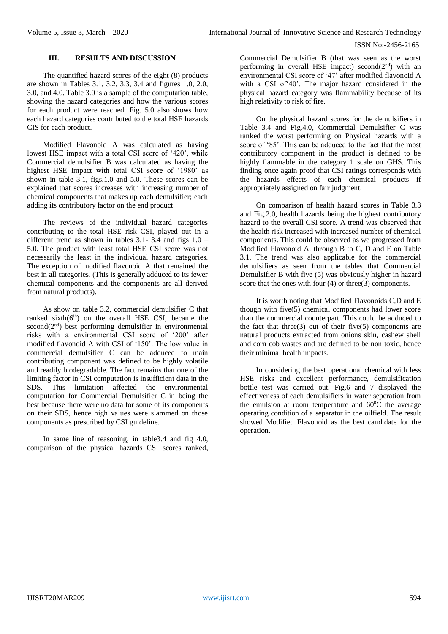### **III. RESULTS AND DISCUSSION**

The quantified hazard scores of the eight (8) products are shown in Tables 3.1, 3.2, 3.3, 3.4 and figures 1.0, 2.0, 3.0, and 4.0. Table 3.0 is a sample of the computation table, showing the hazard categories and how the various scores for each product were reached. Fig. 5.0 also shows how each hazard categories contributed to the total HSE hazards CIS for each product.

Modified Flavonoid A was calculated as having lowest HSE impact with a total CSI score of '420', while Commercial demulsifier B was calculated as having the highest HSE impact with total CSI score of '1980' as shown in table 3.1, figs.1.0 and 5.0. These scores can be explained that scores increases with increasing number of chemical components that makes up each demulsifier; each adding its contributory factor on the end product.

The reviews of the individual hazard categories contributing to the total HSE risk CSI, played out in a different trend as shown in tables  $3.1-3.4$  and figs  $1.0-$ 5.0. The product with least total HSE CSI score was not necessarily the least in the individual hazard categories. The exception of modified flavonoid A that remained the best in all categories. (This is generally adduced to its fewer chemical components and the components are all derived from natural products).

As show on table 3.2, commercial demulsifier C that ranked  $sixth(6<sup>th</sup>)$  on the overall HSE CSI, became the second $(2<sup>nd</sup>)$  best performing demulsifier in environmental risks with a environmental CSI score of '200' after modified flavonoid A with CSI of '150'. The low value in commercial demulsifier C can be adduced to main contributing component was defined to be highly volatile and readily biodegradable. The fact remains that one of the limiting factor in CSI computation is insufficient data in the SDS. This limitation affected the environmental computation for Commercial Demulsifier C in being the best because there were no data for some of its components on their SDS, hence high values were slammed on those components as prescribed by CSI guideline.

In same line of reasoning, in table3.4 and fig 4.0, comparison of the physical hazards CSI scores ranked,

Commercial Demulsifier B (that was seen as the worst performing in overall HSE impact) second $(2<sup>nd</sup>)$  with an environmental CSI score of '47' after modified flavonoid A with a CSI of'40'. The major hazard considered in the physical hazard category was flammability because of its high relativity to risk of fire.

On the physical hazard scores for the demulsifiers in Table 3.4 and Fig.4.0, Commercial Demulsifier C was ranked the worst performing on Physical hazards with a score of '85'. This can be adduced to the fact that the most contributory component in the product is defined to be highly flammable in the category 1 scale on GHS. This finding once again proof that CSI ratings corresponds with the hazards effects of each chemical products if appropriately assigned on fair judgment.

On comparison of health hazard scores in Table 3.3 and Fig.2.0, health hazards being the highest contributory hazard to the overall CSI score. A trend was observed that the health risk increased with increased number of chemical components. This could be observed as we progressed from Modified Flavonoid A, through B to C, D and E on Table 3.1. The trend was also applicable for the commercial demulsifiers as seen from the tables that Commercial Demulsifier B with five (5) was obviously higher in hazard score that the ones with four (4) or three(3) components.

It is worth noting that Modified Flavonoids C,D and E though with five(5) chemical components had lower score than the commercial counterpart. This could be adduced to the fact that three $(3)$  out of their five $(5)$  components are natural products extracted from onions skin, cashew shell and corn cob wastes and are defined to be non toxic, hence their minimal health impacts.

In considering the best operational chemical with less HSE risks and excellent performance, demulsification bottle test was carried out. Fig.6 and 7 displayed the effectiveness of each demulsifiers in water seperation from the emulsion at room temperature and  $60^{\circ}$ C the average operating condition of a separator in the oilfield. The result showed Modified Flavonoid as the best candidate for the operation.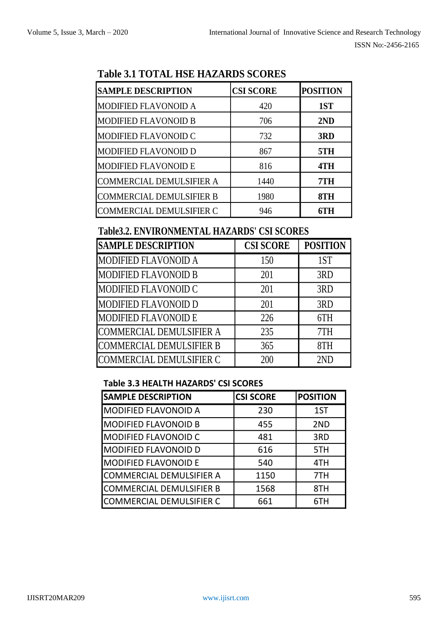| <b>SAMPLE DESCRIPTION</b>       | <b>CSI SCORE</b> | <b>POSITION</b> |
|---------------------------------|------------------|-----------------|
| <b>MODIFIED FLAVONOID A</b>     | 420              | 1ST             |
| <b>MODIFIED FLAVONOID B</b>     | 706              | 2ND             |
| <b>MODIFIED FLAVONOID C</b>     | 732              | 3RD             |
| <b>MODIFIED FLAVONOID D</b>     | 867              | 5TH             |
| <b>MODIFIED FLAVONOID E</b>     | 816              | 4TH             |
| <b>COMMERCIAL DEMULSIFIER A</b> | 1440             | 7TH             |
| <b>COMMERCIAL DEMULSIFIER B</b> | 1980             | 8TH             |
| <b>COMMERCIAL DEMULSIFIER C</b> | 946              | 6TH             |

# **Table 3.1 TOTAL HSE HAZARDS SCORES**

# **Table3.2. ENVIRONMENTAL HAZARDS' CSI SCORES**

| <b>SAMPLE DESCRIPTION</b>       | <b>CSI SCORE</b> | <b>POSITION</b> |
|---------------------------------|------------------|-----------------|
| <b>MODIFIED FLAVONOID A</b>     | 150              | 1ST             |
| <b>MODIFIED FLAVONOID B</b>     | 201              | 3RD             |
| MODIFIED FLAVONOID C            | 201              | 3RD             |
| <b>MODIFIED FLAVONOID D</b>     | 201              | 3RD             |
| <b>MODIFIED FLAVONOID E</b>     | 226              | 6TH             |
| COMMERCIAL DEMULSIFIER A        | 235              | 7TH             |
| <b>COMMERCIAL DEMULSIFIER B</b> | 365              | 8TH             |
| COMMERCIAL DEMULSIFIER C        | 200              | 2ND             |

# **Table 3.3 HEALTH HAZARDS' CSI SCORES**

| <b>SAMPLE DESCRIPTION</b>   | <b>CSI SCORE</b> | <b>POSITION</b> |
|-----------------------------|------------------|-----------------|
| <b>MODIFIED FLAVONOID A</b> | 230              | 1ST             |
| <b>MODIFIED FLAVONOID B</b> | 455              | 2ND             |
| <b>MODIFIED FLAVONOID C</b> | 481              | 3RD             |
| <b>MODIFIED FLAVONOID D</b> | 616              | 5TH             |
| <b>MODIFIED FLAVONOID E</b> | 540              | 4TH             |
| COMMERCIAL DEMULSIFIER A    | 1150             | 7TH             |
| COMMERCIAL DEMULSIFIER B    | 1568             | 8TH             |
| COMMERCIAL DEMULSIFIER C    | 661              | 6TH             |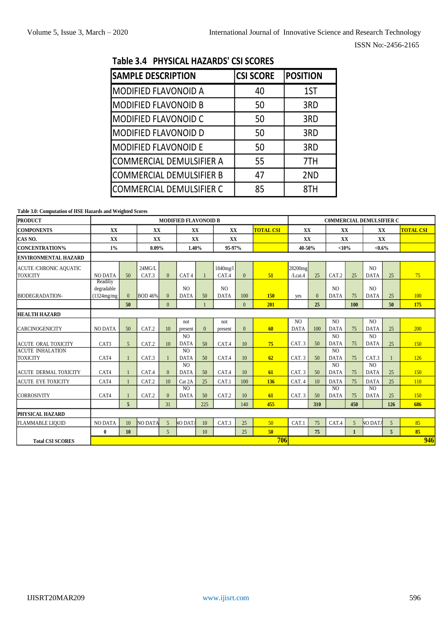| Table 3.4 PHYSICAL HAZARDS' CSI SCORES |  |  |  |
|----------------------------------------|--|--|--|
|----------------------------------------|--|--|--|

| <b>SAMPLE DESCRIPTION</b>       | <b>CSI SCORE</b> | <b>POSITION</b> |
|---------------------------------|------------------|-----------------|
| <b>MODIFIED FLAVONOID A</b>     | 40               | 1ST             |
| <b>MODIFIED FLAVONOID B</b>     | 50               | 3RD             |
| <b>MODIFIED FLAVONOID C</b>     | 50               | 3RD             |
| <b>MODIFIED FLAVONOID D</b>     | 50               | 3RD             |
| <b>MODIFIED FLAVONOID E</b>     | 50               | 3RD             |
| COMMERCIAL DEMULSIFIER A        | 55               | 7TH             |
| <b>COMMERCIAL DEMULSIFIER B</b> | 47               | 2ND             |
| <b>COMMERCIAL DEMULSIFIER C</b> | 85               | 8TH             |

**Table 3.0: Computation of HSE Hazards and Weighted Scores**

| <b>PRODUCT</b>                                  |                                       |                |                 |                | <b>MODIFIED FLAVONOID B</b>   |                  |                               |          |                  | <b>COMMERCIAL DEMULSIFIER C</b> |          |                               |                 |                               |                |                  |
|-------------------------------------------------|---------------------------------------|----------------|-----------------|----------------|-------------------------------|------------------|-------------------------------|----------|------------------|---------------------------------|----------|-------------------------------|-----------------|-------------------------------|----------------|------------------|
| <b>COMPONENTS</b>                               | XX                                    |                | <b>XX</b>       |                | XX                            |                  | XX                            |          | <b>TOTAL CSI</b> | XX                              |          | XX                            |                 | <b>XX</b>                     |                | <b>TOTAL CSI</b> |
| CAS NO.                                         | XX                                    |                | XX              |                | XX                            |                  | XX                            |          |                  | XX                              |          | XX                            |                 | XX                            |                |                  |
| <b>CONCENTRATION%</b>                           | $1\%$                                 |                | $0.09\%$        |                | 1.40%                         |                  | 95-97%                        |          |                  | 40-50%                          |          | <10%                          |                 | $< 0.6\%$                     |                |                  |
| <b>ENVIRONMENTAL HAZARD</b>                     |                                       |                |                 |                |                               |                  |                               |          |                  |                                 |          |                               |                 |                               |                |                  |
| <b>ACUTE/CHRONIC AQUATIC</b><br><b>TOXICITY</b> | <b>NO DATA</b>                        | 50             | 24MG/L<br>CAT.3 | $\theta$       | CAT <sub>4</sub>              |                  | 1840mg/l<br>CAT.4             | $\theta$ | 51               | 28200mg<br>/Lcat.4              | 25       | CAT.2                         | 25              | N <sub>O</sub><br><b>DATA</b> | 25             | 75               |
| <b>BIODEGRADATION-</b>                          | Readiliy<br>degradable<br>(1324mg/mg) | $\theta$       | <b>BOD</b> 46%  | $\mathbf{0}$   | N <sub>O</sub><br><b>DATA</b> | 50               | N <sub>O</sub><br><b>DATA</b> | 100      | 150              | yes                             | $\Omega$ | N <sub>O</sub><br><b>DATA</b> | 75              | N <sub>O</sub><br><b>DATA</b> | 25             | 100              |
|                                                 |                                       | 50             |                 | $\Omega$       |                               |                  |                               | $\theta$ | 201              |                                 | 25       |                               | 100             |                               | 50             | 175              |
| <b>HEALTH HAZARD</b>                            |                                       |                |                 |                |                               |                  |                               |          |                  |                                 |          |                               |                 |                               |                |                  |
| <b>CARCINOGENICITY</b>                          | <b>NO DATA</b>                        | 50             | CAT.2           | 10             | not<br>present                | $\Omega$         | not<br>present                | $\Omega$ | 60               | N <sub>O</sub><br><b>DATA</b>   | 100      | N <sub>O</sub><br><b>DATA</b> | 75              | N <sub>O</sub><br><b>DATA</b> | 25             | 200              |
| ACUTE ORAL TOXICITY                             | CAT3                                  | 5 <sup>5</sup> | CAT.2           | 10             | N <sub>O</sub><br><b>DATA</b> | 50               | CAT.4                         | 10       | 75               | CAT. 3                          | 50       | N <sub>O</sub><br><b>DATA</b> | 75              | N <sub>O</sub><br><b>DATA</b> | 25             | 150              |
| <b>ACUTE INHALATION</b><br><b>TOXICITY</b>      | CAT4                                  |                | CAT.3           | $\mathbf{1}$   | N <sub>O</sub><br><b>DATA</b> | 50               | CAT.4                         | 10       | 62               | CAT. 3                          | 50       | N <sub>O</sub><br><b>DATA</b> | 75              | CAT.3                         |                | 126              |
| <b>ACUTE DERMAL TOXICITY</b>                    | CAT4                                  |                | CAT.4           | $\theta$       | N <sub>O</sub><br><b>DATA</b> | 50               | CAT.4                         | 10       | 61               | CAT. 3                          | 50       | N <sub>O</sub><br><b>DATA</b> | 75              | N <sub>O</sub><br><b>DATA</b> | 25             | 150              |
| <b>ACUTE EYE TOXICITY</b>                       | CAT4                                  |                | CAT.2           | 10             | Cat 2A                        | 25               | CAT.1                         | 100      | 136              | CAT. 4                          | 10       | <b>DATA</b>                   | 75              | <b>DATA</b>                   | 25             | 110              |
| <b>CORROSIVITY</b>                              | CAT4                                  |                | CAT.2           | $\theta$       | N <sub>O</sub><br><b>DATA</b> | 50               | CAT.2                         | 10       | 61               | CAT. 3                          | 50       | N <sub>O</sub><br><b>DATA</b> | 75              | N <sub>O</sub><br><b>DATA</b> | 25             | 150              |
|                                                 |                                       | $\overline{5}$ |                 | 31             |                               | 225              |                               | 140      | 455              |                                 | 310      |                               | 450             |                               | 126            | 686              |
| <b>PHYSICAL HAZARD</b>                          |                                       |                |                 |                |                               |                  |                               |          |                  |                                 |          |                               |                 |                               |                |                  |
| <b>FLAMMABLE LIQUID</b>                         | <b>NO DATA</b>                        | 10             | NO DATA         | 5 <sup>5</sup> | <b>NO DATA</b>                | 10 <sup>10</sup> | CAT.3                         | 25       | 50               | CAT.1                           | 75       | CAT.4                         | $5\overline{)}$ | NO DATA                       | $\overline{5}$ | 85               |
|                                                 | $\bf{0}$                              | 10             |                 | 5 <sup>5</sup> |                               | 10               |                               | 25       | 50               |                                 | 75       |                               | $\mathbf{1}$    |                               | 5 <sup>5</sup> | 85               |
| <b>Total CSI SCORES</b>                         |                                       |                |                 |                |                               |                  |                               |          | 706              |                                 |          |                               |                 |                               |                | 946              |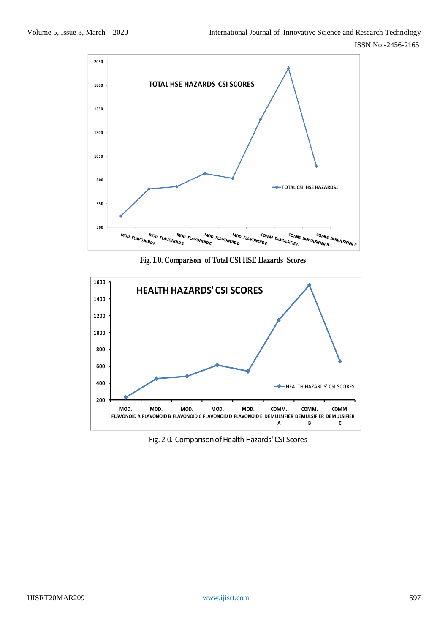

**Fig. 1.0. Comparison of Total CSI HSE Hazards Scores**



Fig. 2.0. Comparison of Health Hazards' CSI Scores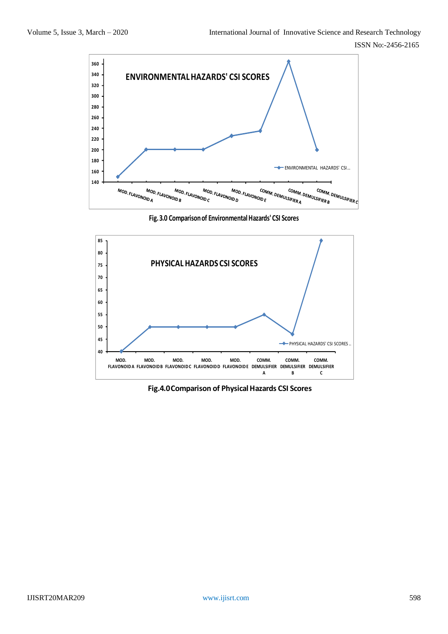

**Fig. 3.0 Comparison of EnvironmentalHazards' CSI Scores**



**Fig.4.0 Comparison of Physical Hazards CSI Scores**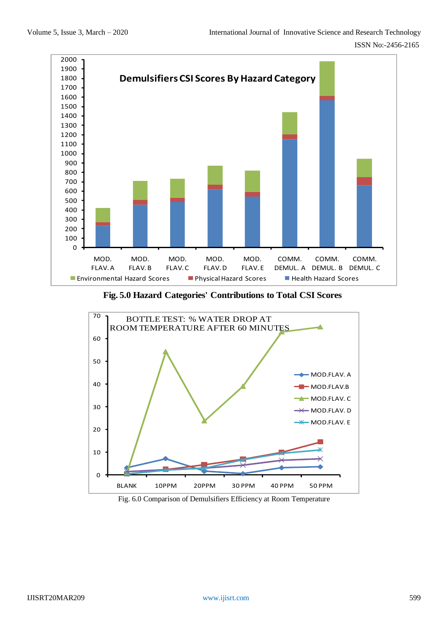

**Fig. 5.0 Hazard Categories' Contributions to Total CSI Scores**



Fig. 6.0 Comparison of Demulsifiers Efficiency at Room Temperature